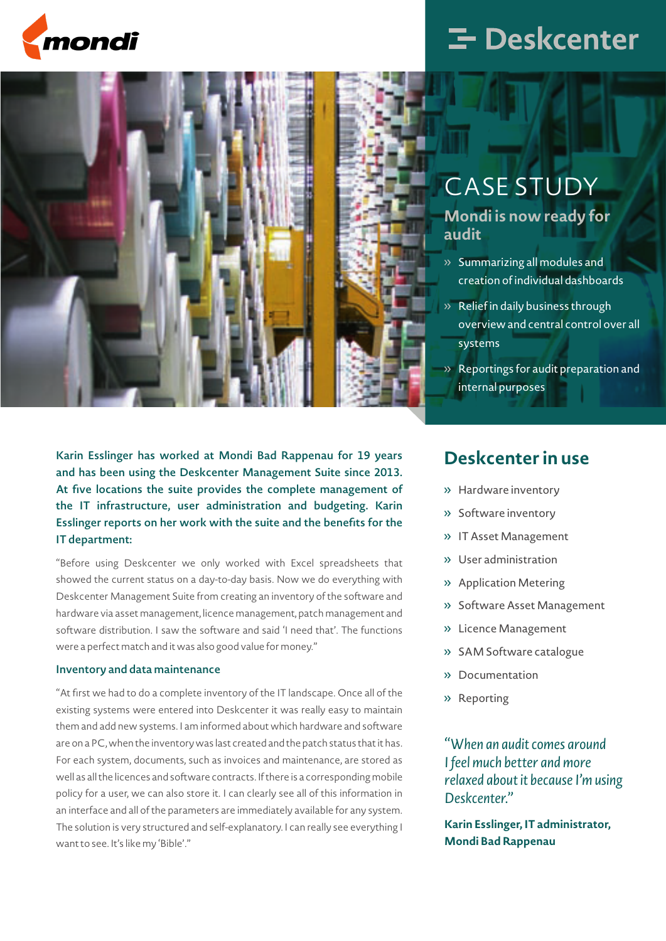



# **E** Deskcenter

### CASE STUDY

**Mondi is now ready for audit**

- » Summarizing all modules and creation of individual dashboards
- » Relief in daily business through overview and central control over all systems
- » Reportings for audit preparation and internal purposes

Karin Esslinger has worked at Mondi Bad Rappenau for 19 years and has been using the Deskcenter Management Suite since 2013. At five locations the suite provides the complete management of the IT infrastructure, user administration and budgeting. Karin Esslinger reports on her work with the suite and the benefits for the IT department:

"Before using Deskcenter we only worked with Excel spreadsheets that showed the current status on a day-to-day basis. Now we do everything with Deskcenter Management Suite from creating an inventory of the software and hardware via asset management, licence management, patch management and software distribution. I saw the software and said 'I need that'. The functions were a perfect match and it was also good value for money."

#### Inventory and data maintenance

"At first we had to do a complete inventory of the IT landscape. Once all of the existing systems were entered into Deskcenter it was really easy to maintain them and add new systems. I am informed about which hardware and software are on a PC, when the inventory was last created and the patch status that it has. For each system, documents, such as invoices and maintenance, are stored as well as all the licences and software contracts. If there is a corresponding mobile policy for a user, we can also store it. I can clearly see all of this information in an interface and all of the parameters are immediately available for any system. The solution is very structured and self-explanatory. I can really see everything I want to see. It's like my 'Bible'."

### **Deskcenter in use**

- » Hardware inventory
- » Software inventory
- » IT Asset Management
- » User administration
- » Application Metering
- » Software Asset Management
- » Licence Management
- » SAM Software catalogue
- » Documentation
- » Reporting

*"When an audit comes around I feel much better and more relaxed about it because I'm using Deskcenter."*

**Karin Esslinger, IT administrator, Mondi Bad Rappenau**